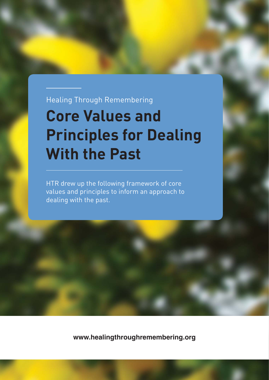Healing Through Remembering

### **Core Values and Principles for Dealing With the Past**

HTR drew up the following framework of core values and principles to inform an approach to dealing with the past.

**www.healingthroughremembering.org**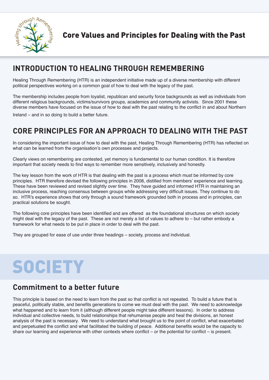

#### **INTRODUCTION TO HEALING THROUGH REMEMBERING**

Healing Through Remembering (HTR) is an independent initiative made up of a diverse membership with different political perspectives working on a common goal of how to deal with the legacy of the past.

The membership includes people from loyalist, republican and security force backgrounds as well as individuals from different religious backgrounds, victims/survivors groups, academics and community activists. Since 2001 these diverse members have focused on the issue of how to deal with the past relating to the conflict in and about Northern

Ireland – and in so doing to build a better future.

#### **CORE PRINCIPLES FOR AN APPROACH TO DEALING WITH THE PAST**

In considering the important issue of how to deal with the past, Healing Through Remembering (HTR) has reflected on what can be learned from the organisation's own processes and projects.

Clearly views on remembering are contested, yet memory is fundamental to our human condition. It is therefore important that society needs to find ways to remember more sensitively, inclusively and honestly.

The key lesson from the work of HTR is that dealing with the past is a process which must be informed by core principles. HTR therefore devised the following principles in 2008, distilled from members' experience and learning. These have been reviewed and revised slightly over time. They have guided and informed HTR in maintaining an inclusive process, reaching consensus between groups while addressing very difficult issues. They continue to do so. HTR's experience shows that only through a sound framework grounded both in process and in principles, can practical solutions be sought.

The following core principles have been identified and are offered as the foundational structures on which society might deal with the legacy of the past. These are not merely a list of values to adhere to – but rather embody a framework for what needs to be put in place in order to deal with the past.

They are grouped for ease of use under three headings – society, process and individual.

# **SOCIETY**

#### **Commitment to a better future**

This principle is based on the need to learn from the past so that conflict is not repeated. To build a future that is peaceful, politically stable, and benefits generations to come we must deal with the past. We need to acknowledge what happened and to learn from it (although different people might take different lessons). In order to address individual and collective needs, to build relationships that rehumanise people and heal the divisions, an honest analysis of the past is necessary. We need to understand what brought us to the point of conflict, what exacerbated and perpetuated the conflict and what facilitated the building of peace. Additional benefits would be the capacity to share our learning and experience with other contexts where conflict – or the potential for conflict – is present.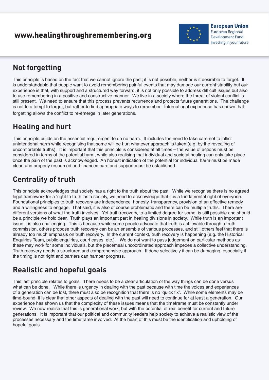#### www.healingthroughremembering.org



**European Union European Regional Development Fund** Investing in your future

#### **Not forgetting**

This principle is based on the fact that we cannot ignore the past; it is not possible, neither is it desirable to forget. It is understandable that people want to avoid remembering painful events that may damage our current stability but our experience is that, with support and a structured way forward, it is not only possible to address difficult issues but also to use remembering in a positive and constructive manner. We live in a society where the threat of violent conflict is still present. We need to ensure that this process prevents recurrence and protects future generations. The challenge is not to attempt to forget, but rather to find appropriate ways to remember. International experience has shown that forgetting allows the conflict to re-emerge in later generations.

#### **Healing and hurt**

This principle builds on the essential requirement to do no harm. It includes the need to take care not to inflict unintentional harm while recognising that some will be hurt whatever approach is taken (e.g. by the revealing of uncomfortable truths). It is important that this principle is considered at all times – the value of actions must be considered in terms of the potential harm, while also realising that individual and societal healing can only take place once the pain of the past is acknowledged. An honest indication of the potential for individual harm must be made clear, and properly resourced and financed care and support must be established.

#### **Centrality of truth**

This principle acknowledges that society has a right to the truth about the past. While we recognise there is no agreed legal framework for a 'right to truth' as a society, we need to acknowledge that it is a fundamental right of everyone. Foundational principles to truth recovery are independence, honesty, transparency, provision of an effective remedy and a willingness to engage. That said, it is also of course problematic and there can be multiple truths. There are different versions of what the truth involves. Yet truth recovery, to a limited degree for some, is still possible and should be a principle we hold dear. Truth plays an important part in healing divisions in society. While truth is an important issue it is also challenging. This is because while some people advocate that truth is achievable through a truth commission, others propose truth recovery can be an ensemble of various processes, and still others feel that there is already too much emphasis on truth recovery. In the current context, truth recovery is happening (e.g. the Historical Enquiries Team, public enquiries, court cases, etc.). We do not want to pass judgement on particular methods as these may work for some individuals, but the piecemeal uncoordinated approach impedes a collective understanding. Truth recovery needs a structured and comprehensive approach. If done selectively it can be damaging, especially if the timing is not right and barriers can hamper progress.

### **Realistic and hopeful goals**

This last principle relates to goals. There needs to be a clear articulation of the way things can be done versus what can be done. While there is urgency in dealing with the past because with time the voices and experiences of a generation can be lost, there must also be recognition that there is no 'quick fix'. While some elements may be time-bound, it is clear that other aspects of dealing with the past will need to continue for at least a generation. Our experience has shown us that the complexity of these issues means that the timeframe must be constantly under review. We now realise that this is generational work, but with the potential of real benefit for current and future generations. It is important that our political and community leaders help society to achieve a realistic view of the processes necessary and the timeframe involved. At the heart of this must be the identification and upholding of hopeful goals.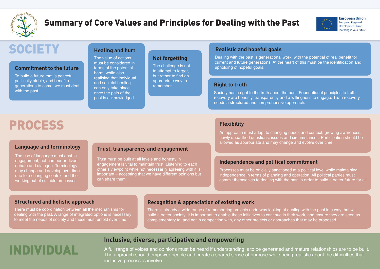### **Inclusive, diverse, participative and empowering**

**INDIVIDUAL A full range of voices and opinions must be heard if understanding is to be generated and mature relationships are to be built.** The approach should empower people and create a shared sense of purpose while being realistic about the difficulties that inclusive processes involve.





**European Union European Regional Development Fund** Investing in your future

#### **Commitment to the future**

To build a future that is peaceful, politically stable, and benefits generations to come, we must deal with the past.

#### **Healing and hurt**

The value of actions must be considered in terms of the potential harm, while also realising that individual and societal healing can only take place once the pain of the past is acknowledged.

Dealing with the past is generational work, with the potential of real benefit for current and future generations. At the heart of this must be the identification and upholding of hopeful goals.

#### **Not forgetting**

The challenge is not to attempt to forget, but rather to find an appropriate way to remember. **Right to truth**

#### **Realistic and hopeful goals**

Society has a right to the truth about the past. Foundational principles to truth recovery are honesty, transparency and a willingness to engage. Truth recovery needs a structured and comprehensive approach.

### PROCESS

#### **Language and terminology**

The use of language must enable engagement, not hamper or divert debate and dialogue. Terminology may change and develop over time due to a changing context and the working out of suitable processes.

Processes must be officially sanctioned at a political level while maintaining independence in terms of planning and operation. All political parties must commit themselves to dealing with the past in order to build a better future for all.

#### **Structured and holistic approach**

There must be coordination between all the mechanisms for dealing with the past. A range of integrated options is necessary to meet the needs of society and these must unfold over time.

#### **Trust, transparency and engagement**

Trust must be built at all levels and honesty in engagement is vital to maintain trust. Listening to each other's viewpoint while not necessarily agreeing with it is important – accepting that we have different opinions but can share them.

#### **Flexibility**

An approach must adapt to changing needs and context, growing awareness, newly unearthed questions, issues and circumstances. Participation should be allowed as appropriate and may change and evolve over time.

#### **Recognition & appreciation of existing work**

There is already a wide range of remembering projects underway looking at dealing with the past in a way that will build a better society. It is important to enable these initiatives to continue in their work, and ensure they are seen as complementary to, and not in competition with, any other projects or approaches that may be proposed.

#### **Independence and political commitment**



### Summary of Core Values and Principles for Dealing with the Past

## **SOCIETY**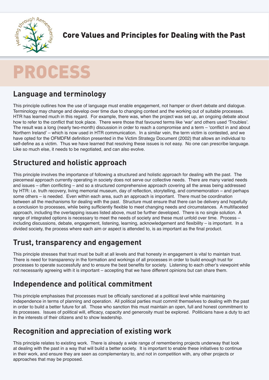

Core Values and Principles for Dealing with the Past

### PROCESS

#### **Language and terminology**

This principle outlines how the use of language must enable engagement, not hamper or divert debate and dialogue. Terminology may change and develop over time due to changing context and the working out of suitable processes. HTR has learned much in this regard. For example, there was, when the project was set up, an ongoing debate about how to refer to the conflict that took place. There were those that favoured terms like 'war' and others used 'Troubles'. The result was a long (nearly two-month) discussion in order to reach a compromise and a term – 'conflict in and about Northern Ireland' – which is now used in HTR communication. In a similar vein, the term victim is contested, and we have opted for the OFMDFM definition presented in the Victim Strategy Document (2002) that allows an individual to self-define as a victim. Thus we have learned that resolving these issues is not easy. No one can prescribe language. Like so much else, it needs to be negotiated, and can also evolve.

#### **Structured and holistic approach**

This principle involves the importance of following a structured and holistic approach for dealing with the past. The piecemeal approach currently operating in society does not serve our collective needs. There are many varied needs and issues – often conflicting – and so a structured comprehensive approach covering all the areas being addressed by HTR: i.e. truth recovery, living memorial museum, day of reflection, storytelling, and commemoration – and perhaps some others – is needed. Even within each area, such an approach is important. There must be coordination between all the mechanisms for dealing with the past. Structure must ensure that there can be delivery and hopefully a conclusion to processes, while being sufficiently flexible to meet changing needs and circumstances. A multifaceted approach, including the overlapping issues listed above, must be further developed. There is no single solution. A range of integrated options is necessary to meet the needs of society and these must unfold over time. Process – including discussions, debate, engagement, listening, learning, acknowledgement and flexibility – is important. In a divided society, the process where each aim or aspect is attended to, is as important as the final product.

#### **Trust, transparency and engagement**

This principle stresses that trust must be built at all levels and that honesty in engagement is vital to maintain trust. There is need for transparency in the formation and workings of all processes in order to build enough trust for processes to operate successfully and to ensure the best benefits for society. Listening to each other's viewpoint while not necessarily agreeing with it is important – accepting that we have different opinions but can share them.

#### **Independence and political commitment**

This principle emphasises that processes must be officially sanctioned at a political level while maintaining independence in terms of planning and operation. All political parties must commit themselves to dealing with the past in order to build a better future for all. Those who sanction this must maintain an open, full and honest commitment to its processes. Issues of political will, efficacy, capacity and generosity must be explored. Politicians have a duty to act in the interests of their citizens and to show leadership.

#### **Recognition and appreciation of existing work**

This principle relates to existing work. There is already a wide range of remembering projects underway that look at dealing with the past in a way that will build a better society. It is important to enable these initiatives to continue in their work, and ensure they are seen as complementary to, and not in competition with, any other projects or approaches that may be proposed.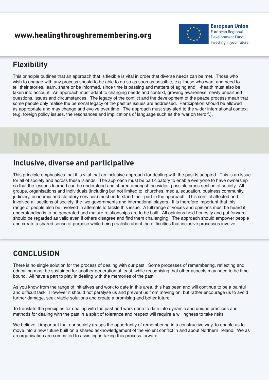#### www.healingthroughremembering.org



**European Union European Regional Development Fund** Investing in your future

#### **Flexibility**

This principle outlines that an approach that is flexible is vital in order that diverse needs can be met. Those who wish to engage with any process should to be able to do so as soon as possible, e.g. those who want and need to tell their stories, learn, share or be informed, since time is passing and matters of aging and ill-health must also be taken into account. An approach must adapt to changing needs and context, growing awareness, newly unearthed questions, issues and circumstances. The legacy of the conflict and the development of the peace process mean that some people only realise the personal legacy of the past as issues are addressed. Participation should be allowed as appropriate and may change and evolve over time. The approach must stay alert to the wider international context (e.g. foreign policy issues, the resonances and implications of language such as the 'war on terror'.).

## INDIVIDUAL

#### **Inclusive, diverse and participative**

This principle emphasises that it is vital that an inclusive approach for dealing with the past is adopted. This is an issue for all of society and across these islands. The approach must be participatory to enable everyone to have ownership so that the lessons learned can be understood and shared amongst the widest possible cross-section of society. All groups, organisations and individuals (including but not limited to, churches, media, education, business community, judiciary, academia and statutory services) must understand their part in the approach. This conflict affected and involved all sections of society, the two governments and international players. It is therefore important that this range of people also be involved in attempts to tackle this issue. A full range of voices and opinions must be heard if understanding is to be generated and mature relationships are to be built. All opinions held honestly and put forward should be regarded as valid even if others disagree and find them challenging. The approach should empower people and create a shared sense of purpose while being realistic about the difficulties that inclusive processes involve.

#### **CONCLUSION**

There is no single solution for the process of dealing with our past. Some processes of remembering, reflecting and educating must be sustained for another generation at least, while recognising that other aspects may need to be timebound. All have a part to play in dealing with the memories of the past.

As you know from the range of initiatives and work to date in this area, this has been and will continue to be a painful and difficult task. However it should not paralyse us and prevent us from moving on, but rather encourage us to avoid further damage, seek viable solutions and create a promising and better future.

To translate the principles for dealing with the past and work done to date into dynamic and unique practices and methods for dealing with the past in a spirit of tolerance and respect will require a willingness to take risks.

We believe it important that our society grasps the opportunity of remembering in a constructive way, to enable us to move into a new future built on a shared acknowledgement of the violent conflict in and about Northern Ireland. We as an organisation are committed to assisting in taking this process forward.